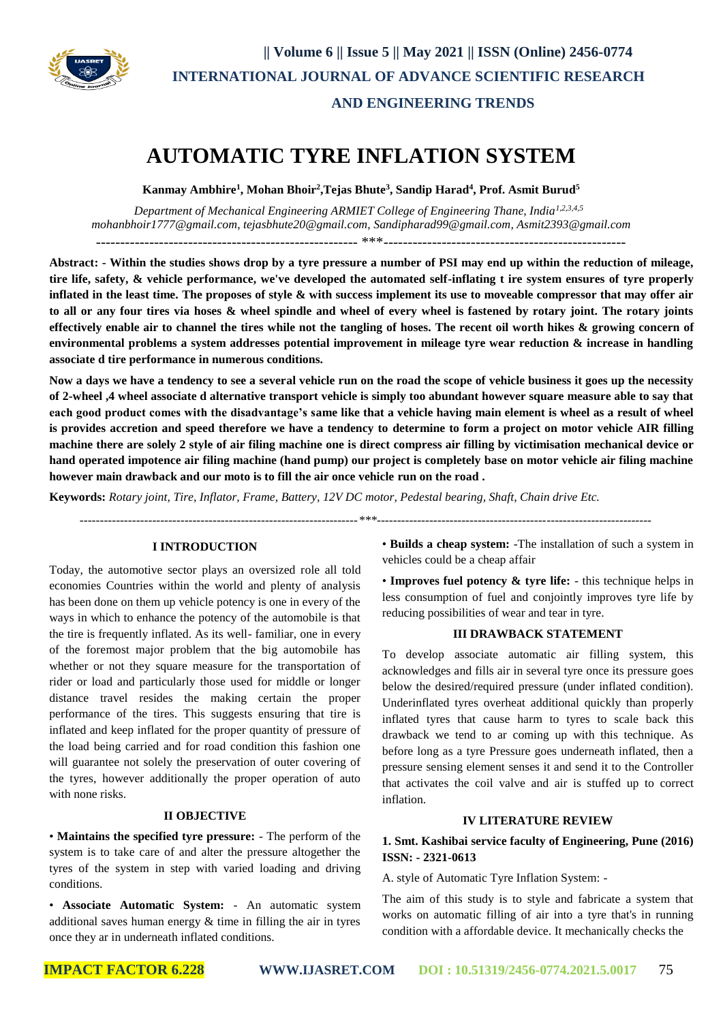

# **AUTOMATIC TYRE INFLATION SYSTEM**

**Kanmay Ambhire<sup>1</sup> , Mohan Bhoir<sup>2</sup> ,Tejas Bhute<sup>3</sup> , Sandip Harad<sup>4</sup> , Prof. Asmit Burud<sup>5</sup>**

 *Department of Mechanical Engineering ARMIET College of Engineering Thane, India1,2,3,4,5 [mohanbhoir1777@gmail.com,](mailto:mohanbhoir1777@gmail.com) tejasbhute20@gmail.com, [Sandipharad99@gmail.com,](mailto:Sandipharad99@gmail.com) Asmit2393@gmail.com*  ------------------------------------------------------ \*\*\*--------------------------------------------------

**Abstract: - Within the studies shows drop by a tyre pressure a number of PSI may end up within the reduction of mileage, tire life, safety, & vehicle performance, we've developed the automated self-inflating t ire system ensures of tyre properly inflated in the least time. The proposes of style & with success implement its use to moveable compressor that may offer air to all or any four tires via hoses & wheel spindle and wheel of every wheel is fastened by rotary joint. The rotary joints effectively enable air to channel the tires while not the tangling of hoses. The recent oil worth hikes & growing concern of environmental problems a system addresses potential improvement in mileage tyre wear reduction & increase in handling associate d tire performance in numerous conditions.**

**Now a days we have a tendency to see a several vehicle run on the road the scope of vehicle business it goes up the necessity of 2-wheel ,4 wheel associate d alternative transport vehicle is simply too abundant however square measure able to say that each good product comes with the disadvantage's same like that a vehicle having main element is wheel as a result of wheel is provides accretion and speed therefore we have a tendency to determine to form a project on motor vehicle AIR filling machine there are solely 2 style of air filing machine one is direct compress air filling by victimisation mechanical device or hand operated impotence air filing machine (hand pump) our project is completely base on motor vehicle air filing machine however main drawback and our moto is to fill the air once vehicle run on the road .** 

**Keywords:** *Rotary joint, Tire, Inflator, Frame, Battery, 12V DC motor, Pedestal bearing, Shaft, Chain drive Etc.*

 *---------------------------------------------------------------------\*\*\*--------------------------------------------------------------------*

#### **I INTRODUCTION**

Today, the automotive sector plays an oversized role all told economies Countries within the world and plenty of analysis has been done on them up vehicle potency is one in every of the ways in which to enhance the potency of the automobile is that the tire is frequently inflated. As its well- familiar, one in every of the foremost major problem that the big automobile has whether or not they square measure for the transportation of rider or load and particularly those used for middle or longer distance travel resides the making certain the proper performance of the tires. This suggests ensuring that tire is inflated and keep inflated for the proper quantity of pressure of the load being carried and for road condition this fashion one will guarantee not solely the preservation of outer covering of the tyres, however additionally the proper operation of auto with none risks.

#### **II OBJECTIVE**

• **Maintains the specified tyre pressure:** - The perform of the system is to take care of and alter the pressure altogether the tyres of the system in step with varied loading and driving conditions.

• **Associate Automatic System:** - An automatic system additional saves human energy  $\&$  time in filling the air in tyres once they ar in underneath inflated conditions.

• **Builds a cheap system:** -The installation of such a system in vehicles could be a cheap affair

• **Improves fuel potency & tyre life:** - this technique helps in less consumption of fuel and conjointly improves tyre life by reducing possibilities of wear and tear in tyre.

#### **III DRAWBACK STATEMENT**

To develop associate automatic air filling system, this acknowledges and fills air in several tyre once its pressure goes below the desired/required pressure (under inflated condition). Underinflated tyres overheat additional quickly than properly inflated tyres that cause harm to tyres to scale back this drawback we tend to ar coming up with this technique. As before long as a tyre Pressure goes underneath inflated, then a pressure sensing element senses it and send it to the Controller that activates the coil valve and air is stuffed up to correct inflation.

#### **IV LITERATURE REVIEW**

## **1. Smt. Kashibai service faculty of Engineering, Pune (2016) ISSN: - 2321-0613**

A. style of Automatic Tyre Inflation System: -

The aim of this study is to style and fabricate a system that works on automatic filling of air into a tyre that's in running condition with a affordable device. It mechanically checks the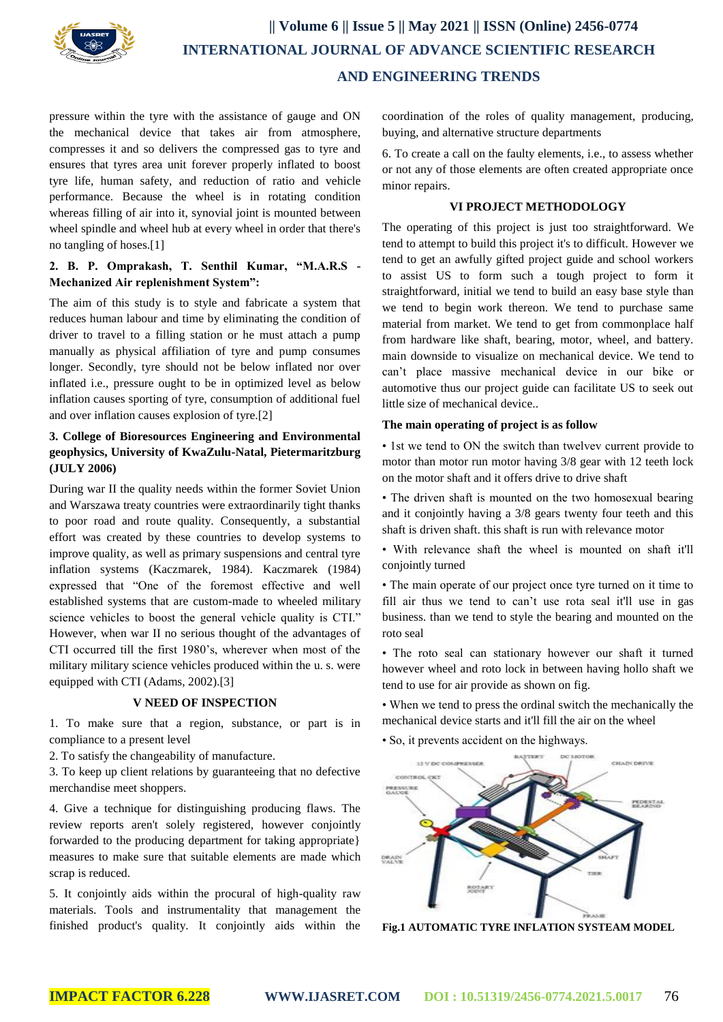

## **|| Volume 6 || Issue 5 || May 2021 || ISSN (Online) 2456-0774 INTERNATIONAL JOURNAL OF ADVANCE SCIENTIFIC RESEARCH AND ENGINEERING TRENDS**

pressure within the tyre with the assistance of gauge and ON the mechanical device that takes air from atmosphere, compresses it and so delivers the compressed gas to tyre and ensures that tyres area unit forever properly inflated to boost tyre life, human safety, and reduction of ratio and vehicle performance. Because the wheel is in rotating condition whereas filling of air into it, synovial joint is mounted between wheel spindle and wheel hub at every wheel in order that there's no tangling of hoses.[1]

## **2. B. P. Omprakash, T. Senthil Kumar, "M.A.R.S - Mechanized Air replenishment System":**

The aim of this study is to style and fabricate a system that reduces human labour and time by eliminating the condition of driver to travel to a filling station or he must attach a pump manually as physical affiliation of tyre and pump consumes longer. Secondly, tyre should not be below inflated nor over inflated i.e., pressure ought to be in optimized level as below inflation causes sporting of tyre, consumption of additional fuel and over inflation causes explosion of tyre.[2]

## **3. College of Bioresources Engineering and Environmental geophysics, University of KwaZulu-Natal, Pietermaritzburg (JULY 2006)**

During war II the quality needs within the former Soviet Union and Warszawa treaty countries were extraordinarily tight thanks to poor road and route quality. Consequently, a substantial effort was created by these countries to develop systems to improve quality, as well as primary suspensions and central tyre inflation systems (Kaczmarek, 1984). Kaczmarek (1984) expressed that "One of the foremost effective and well established systems that are custom-made to wheeled military science vehicles to boost the general vehicle quality is CTI." However, when war II no serious thought of the advantages of CTI occurred till the first 1980's, wherever when most of the military military science vehicles produced within the u. s. were equipped with CTI (Adams, 2002).[3]

## **V NEED OF INSPECTION**

1. To make sure that a region, substance, or part is in compliance to a present level

2. To satisfy the changeability of manufacture.

3. To keep up client relations by guaranteeing that no defective merchandise meet shoppers.

4. Give a technique for distinguishing producing flaws. The review reports aren't solely registered, however conjointly forwarded to the producing department for taking appropriate} measures to make sure that suitable elements are made which scrap is reduced.

5. It conjointly aids within the procural of high-quality raw materials. Tools and instrumentality that management the finished product's quality. It conjointly aids within the coordination of the roles of quality management, producing, buying, and alternative structure departments

6. To create a call on the faulty elements, i.e., to assess whether or not any of those elements are often created appropriate once minor repairs.

## **VI PROJECT METHODOLOGY**

The operating of this project is just too straightforward. We tend to attempt to build this project it's to difficult. However we tend to get an awfully gifted project guide and school workers to assist US to form such a tough project to form it straightforward, initial we tend to build an easy base style than we tend to begin work thereon. We tend to purchase same material from market. We tend to get from commonplace half from hardware like shaft, bearing, motor, wheel, and battery. main downside to visualize on mechanical device. We tend to can't place massive mechanical device in our bike or automotive thus our project guide can facilitate US to seek out little size of mechanical device..

## **The main operating of project is as follow**

• 1st we tend to ON the switch than twelvev current provide to motor than motor run motor having 3/8 gear with 12 teeth lock on the motor shaft and it offers drive to drive shaft

• The driven shaft is mounted on the two homosexual bearing and it conjointly having a 3/8 gears twenty four teeth and this shaft is driven shaft. this shaft is run with relevance motor

• With relevance shaft the wheel is mounted on shaft it'll conjointly turned

• The main operate of our project once tyre turned on it time to fill air thus we tend to can't use rota seal it'll use in gas business. than we tend to style the bearing and mounted on the roto seal

• The roto seal can stationary however our shaft it turned however wheel and roto lock in between having hollo shaft we tend to use for air provide as shown on fig.

• When we tend to press the ordinal switch the mechanically the mechanical device starts and it'll fill the air on the wheel

• So, it prevents accident on the highways.



**Fig.1 AUTOMATIC TYRE INFLATION SYSTEAM MODEL**